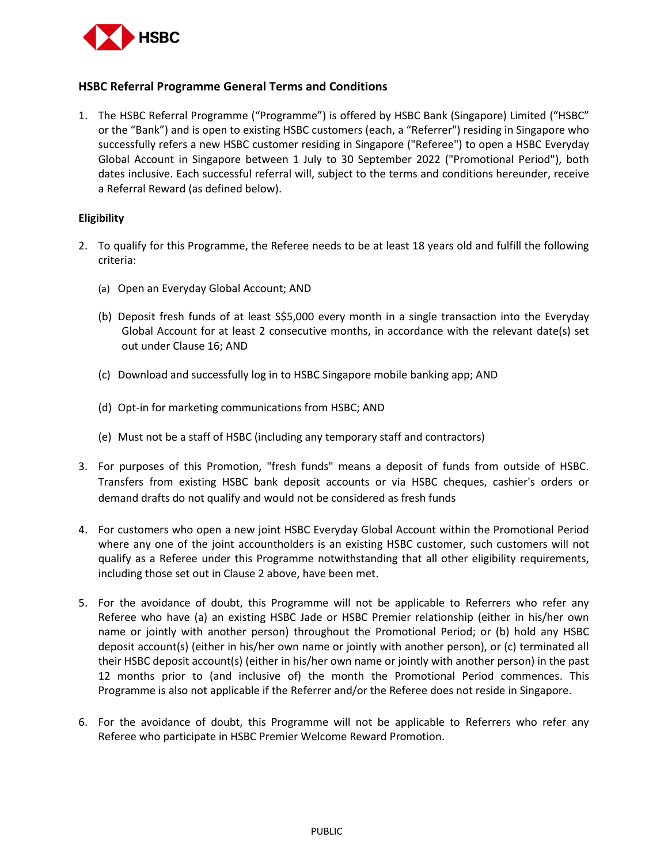

# **HSBC Referral Programme General Terms and Conditions**

1. The HSBC Referral Programme ("Programme") is offered by HSBC Bank (Singapore) Limited ("HSBC" or the "Bank") and is open to existing HSBC customers (each, a "Referrer") residing in Singapore who successfully refers a new HSBC customer residing in Singapore ("Referee") to open a HSBC Everyday Global Account in Singapore between 1 July to 30 September 2022 ("Promotional Period"), both dates inclusive. Each successful referral will, subject to the terms and conditions hereunder, receive a Referral Reward (as defined below).

### **Eligibility**

- 2. To qualify for this Programme, the Referee needs to be at least 18 years old and fulfill the following criteria:
	- (a) Open an Everyday Global Account; AND
	- (b) Deposit fresh funds of at least S\$5,000 every month in a single transaction into the Everyday Global Account for at least 2 consecutive months, in accordance with the relevant date(s) set out under Clause 16; AND
	- (c) Download and successfully log in to HSBC Singapore mobile banking app; AND
	- (d) Opt-in for marketing communications from HSBC; AND
	- (e) Must not be a staff of HSBC (including any temporary staff and contractors)
- 3. For purposes of this Promotion, "fresh funds" means a deposit of funds from outside of HSBC. Transfers from existing HSBC bank deposit accounts or via HSBC cheques, cashier's orders or demand drafts do not qualify and would not be considered as fresh funds
- 4. For customers who open a new joint HSBC Everyday Global Account within the Promotional Period where any one of the joint accountholders is an existing HSBC customer, such customers will not qualify as a Referee under this Programme notwithstanding that all other eligibility requirements, including those set out in Clause 2 above, have been met.
- 5. For the avoidance of doubt, this Programme will not be applicable to Referrers who refer any Referee who have (a) an existing HSBC Jade or HSBC Premier relationship (either in his/her own name or jointly with another person) throughout the Promotional Period; or (b) hold any HSBC deposit account(s) (either in his/her own name or jointly with another person), or (c) terminated all their HSBC deposit account(s) (either in his/her own name or jointly with another person) in the past 12 months prior to (and inclusive of) the month the Promotional Period commences. This Programme is also not applicable if the Referrer and/or the Referee does not reside in Singapore.
- 6. For the avoidance of doubt, this Programme will not be applicable to Referrers who refer any Referee who participate in HSBC Premier Welcome Reward Promotion.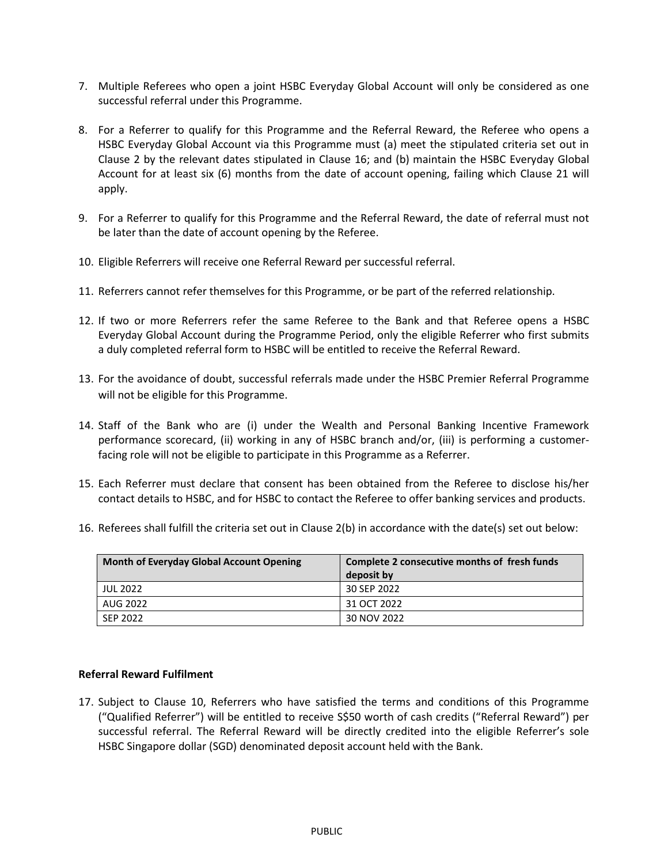- 7. Multiple Referees who open a joint HSBC Everyday Global Account will only be considered as one successful referral under this Programme.
- 8. For a Referrer to qualify for this Programme and the Referral Reward, the Referee who opens a HSBC Everyday Global Account via this Programme must (a) meet the stipulated criteria set out in Clause 2 by the relevant dates stipulated in Clause 16; and (b) maintain the HSBC Everyday Global Account for at least six (6) months from the date of account opening, failing which Clause 21 will apply.
- 9. For a Referrer to qualify for this Programme and the Referral Reward, the date of referral must not be later than the date of account opening by the Referee.
- 10. Eligible Referrers will receive one Referral Reward per successful referral.
- 11. Referrers cannot refer themselves for this Programme, or be part of the referred relationship.
- 12. If two or more Referrers refer the same Referee to the Bank and that Referee opens a HSBC Everyday Global Account during the Programme Period, only the eligible Referrer who first submits a duly completed referral form to HSBC will be entitled to receive the Referral Reward.
- 13. For the avoidance of doubt, successful referrals made under the HSBC Premier Referral Programme will not be eligible for this Programme.
- 14. Staff of the Bank who are (i) under the Wealth and Personal Banking Incentive Framework performance scorecard, (ii) working in any of HSBC branch and/or, (iii) is performing a customerfacing role will not be eligible to participate in this Programme as a Referrer.
- 15. Each Referrer must declare that consent has been obtained from the Referee to disclose his/her contact details to HSBC, and for HSBC to contact the Referee to offer banking services and products.

| 16. Referees shall fulfill the criteria set out in Clause 2(b) in accordance with the date(s) set out below: |  |  |
|--------------------------------------------------------------------------------------------------------------|--|--|
|--------------------------------------------------------------------------------------------------------------|--|--|

| Month of Everyday Global Account Opening | Complete 2 consecutive months of fresh funds<br>deposit by |
|------------------------------------------|------------------------------------------------------------|
| <b>JUL 2022</b>                          | 30 SEP 2022                                                |
| AUG 2022                                 | 31 OCT 2022                                                |
| SEP 2022                                 | 30 NOV 2022                                                |

# **Referral Reward Fulfilment**

17. Subject to Clause 10, Referrers who have satisfied the terms and conditions of this Programme ("Qualified Referrer") will be entitled to receive S\$50 worth of cash credits ("Referral Reward") per successful referral. The Referral Reward will be directly credited into the eligible Referrer's sole HSBC Singapore dollar (SGD) denominated deposit account held with the Bank.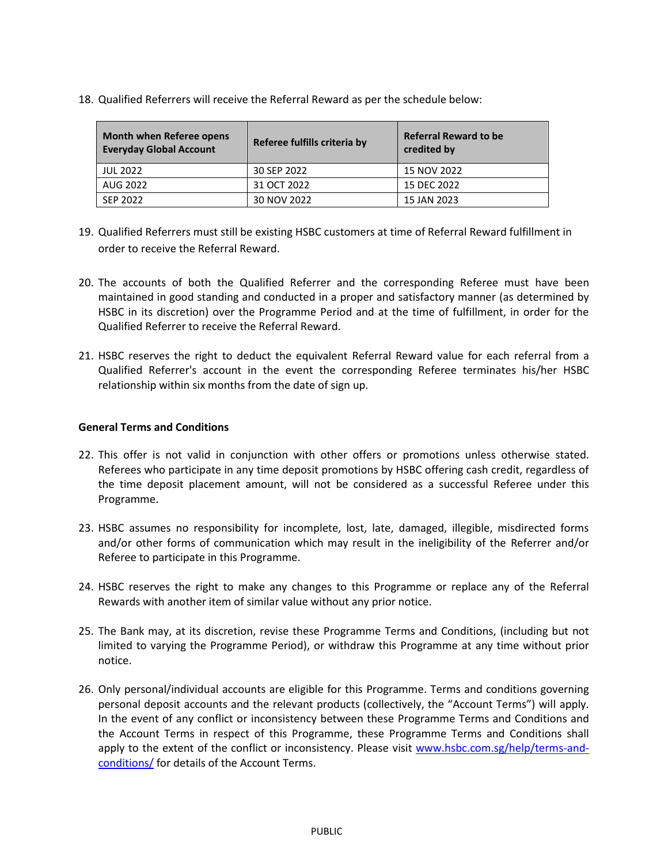18. Qualified Referrers will receive the Referral Reward as per the schedule below:

| <b>Month when Referee opens</b><br><b>Everyday Global Account</b> | Referee fulfills criteria by | <b>Referral Reward to be</b><br>credited by |
|-------------------------------------------------------------------|------------------------------|---------------------------------------------|
| <b>JUL 2022</b>                                                   | 30 SEP 2022                  | 15 NOV 2022                                 |
| AUG 2022                                                          | 31 OCT 2022                  | 15 DEC 2022                                 |
| SEP 2022                                                          | 30 NOV 2022                  | 15 JAN 2023                                 |

- 19. Qualified Referrers must still be existing HSBC customers at time of Referral Reward fulfillment in order to receive the Referral Reward.
- 20. The accounts of both the Qualified Referrer and the corresponding Referee must have been maintained in good standing and conducted in a proper and satisfactory manner (as determined by HSBC in its discretion) over the Programme Period and at the time of fulfillment, in order for the Qualified Referrer to receive the Referral Reward.
- 21. HSBC reserves the right to deduct the equivalent Referral Reward value for each referral from a Qualified Referrer's account in the event the corresponding Referee terminates his/her HSBC relationship within six months from the date of sign up.

# **General Terms and Conditions**

- 22. This offer is not valid in conjunction with other offers or promotions unless otherwise stated. Referees who participate in any time deposit promotions by HSBC offering cash credit, regardless of the time deposit placement amount, will not be considered as a successful Referee under this Programme.
- 23. HSBC assumes no responsibility for incomplete, lost, late, damaged, illegible, misdirected forms and/or other forms of communication which may result in the ineligibility of the Referrer and/or Referee to participate in this Programme.
- 24. HSBC reserves the right to make any changes to this Programme or replace any of the Referral Rewards with another item of similar value without any prior notice.
- 25. The Bank may, at its discretion, revise these Programme Terms and Conditions, (including but not limited to varying the Programme Period), or withdraw this Programme at any time without prior notice.
- 26. Only personal/individual accounts are eligible for this Programme. Terms and conditions governing personal deposit accounts and the relevant products (collectively, the "Account Terms") will apply. In the event of any conflict or inconsistency between these Programme Terms and Conditions and the Account Terms in respect of this Programme, these Programme Terms and Conditions shall apply to the extent of the conflict or inconsistency. Please visit [www.hsbc.com.sg/help/terms-and](http://www.hsbc.com.sg/help/terms-and-conditions/)[conditions/](http://www.hsbc.com.sg/help/terms-and-conditions/) for details of the Account Terms.